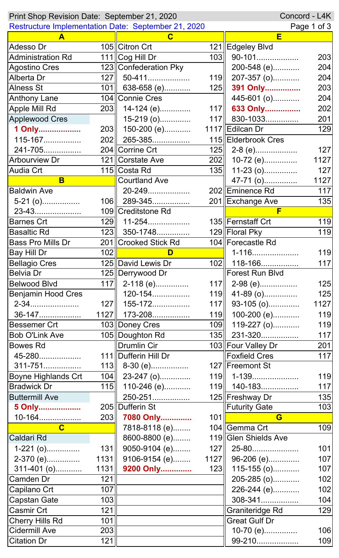| Concord - L4K<br>Print Shop Revision Date: September 21, 2020             |      |                        |     |                                         |      |  |  |
|---------------------------------------------------------------------------|------|------------------------|-----|-----------------------------------------|------|--|--|
| <b>Restructure Implementation Date: September 21, 2020</b><br>Page 1 of 3 |      |                        |     |                                         |      |  |  |
| $\mathbf{A}$                                                              |      | C                      |     | E                                       |      |  |  |
| Adesso Dr                                                                 |      | 105 Citron Crt         |     | 121 Edgeley Blvd                        |      |  |  |
| <b>Administration Rd</b>                                                  |      | 111 $\ $ Cog Hill Dr   | 103 | 90-101                                  | 203  |  |  |
| <b>Agostino Cres</b>                                                      |      | 123 Confederation Pky  |     | 200-548 (e)                             | 204  |  |  |
| Alberta Dr                                                                |      | $127$ 50-411           | 119 | 207-357 (o)                             | 204  |  |  |
| <b>Alness St</b>                                                          |      | $101$    638-658 (e)   |     | 125 391 Only                            | 203  |  |  |
| <b>Anthony Lane</b>                                                       |      | 104 Connie Cres        |     | 445-601 (o)                             | 204  |  |  |
| Apple Mill Rd                                                             | 203  | 14-124 (e)             | 117 | 633 Only                                | 202  |  |  |
| <b>Applewood Cres</b>                                                     |      | 15-219 (o)             |     | $117$   830-1033                        | 201  |  |  |
| 1 Only                                                                    |      | 203 150-200 (e)        |     | 1117  Edilcan Dr                        | 129  |  |  |
| 115-167                                                                   | 202  | 265-385                |     | 115 Elderbrook Cres                     |      |  |  |
| 241-705                                                                   |      | 204 Corrine Crt        |     | $125$    2-8 (e)                        | 127  |  |  |
| Arbourview Dr                                                             |      | 121 Corstate Ave       | 202 | 10-72 (e)                               | 1127 |  |  |
| <b>Audia Crt</b>                                                          |      | 115 Costa Rd           | 135 | $11-23$ (o)                             | 127  |  |  |
| B                                                                         |      | <b>Courtland Ave</b>   |     | 47-71 (o)                               | 1127 |  |  |
| <b>Baldwin Ave</b>                                                        |      | 20-249                 |     | 202 Eminence Rd                         | 117  |  |  |
| $5-21$ (o)                                                                |      | 106   289-345          |     | 201 Exchange Ave                        | 135  |  |  |
| 23-43                                                                     |      | 109 Creditstone Rd     |     | F                                       |      |  |  |
| <b>Barnes Crt</b>                                                         | 129  | 11-254                 |     | 135  Fernstaff Crt                      | 119  |  |  |
| <b>Basaltic Rd</b>                                                        |      | 123 350-1748           |     | 129 Floral Pky                          | 119  |  |  |
| Bass Pro Mills Dr                                                         |      | 201 Crooked Stick Rd   |     | 104 Forecastle Rd                       |      |  |  |
| Bay Hill Dr                                                               | 102  | D                      |     | 1-116                                   | 119  |  |  |
| <b>Bellagio Cres</b>                                                      |      | 125 David Lewis Dr     |     | $\overline{102}$ 118-166                | 117  |  |  |
| <b>Belvia Dr</b>                                                          |      | 125 Derrywood Dr       |     | <b>Forest Run Blvd</b>                  |      |  |  |
| <b>Belwood Blvd</b>                                                       |      | 117 $\vert$ 2-118 (e)  | 117 | 2-98 (e)                                | 125  |  |  |
| Benjamin Hood Cres                                                        |      | 120-154                |     | $119$   41-89 (o)                       | 125  |  |  |
| 2-34                                                                      |      | $127$   155-172        | 117 | $93-105$ (o)                            | 1127 |  |  |
| 36-147                                                                    |      | $1127$   173-208       | 119 | 100-200 (e)                             | 119  |  |  |
| <b>Bessemer Crt</b>                                                       |      | 103 Doney Cres         | 109 | 119-227 (o)                             | 119  |  |  |
| <b>Bob O'Link Ave</b>                                                     |      | 105 Doughton Rd        |     | $135$   231-320                         | 117  |  |  |
| <b>Bowes Rd</b>                                                           |      | Drumlin Cir            |     | 103  Four Valley Dr                     | 201  |  |  |
| 45-280                                                                    |      | 111   Dufferin Hill Dr |     | <b>Foxfield Cres</b>                    | 117  |  |  |
| 311-751                                                                   |      | $113$ 8-30 (e)         |     | 127 Freemont St                         |      |  |  |
| <b>Boyne Highlands Crt</b>                                                |      | $104$   23-247 (o)     |     | $119$   1-139                           | 119  |  |  |
| <b>Bradwick Dr</b>                                                        | 115  | 110-246 (e)            |     | 119   140-183                           | 117  |  |  |
| <b>Buttermill Ave</b>                                                     |      | 250-251                |     | 125 Freshway Dr                         | 135  |  |  |
| 5 Only                                                                    |      | 205  Dufferin St       |     | <b>Futurity Gate</b>                    | 103  |  |  |
| 10-164                                                                    | 203  | 7080 Only              | 101 | G                                       |      |  |  |
| $\overline{c}$                                                            |      | 7818-8118 (e)          |     | 104 Gemma Crt                           | 109  |  |  |
| Caldari Rd                                                                |      | 8600-8800 (e)          |     | 119 Glen Shields Ave                    |      |  |  |
| $1-221(0)$                                                                | 131  | 9050-9104 (e)          | 127 | 25-80                                   | 101  |  |  |
| 2-370 (e)                                                                 | 1131 | 9106-9154 (e)          |     | $1127$    96-206 (e)                    | 107  |  |  |
| 311-401 (o)                                                               | 1131 | 9200 Only              | 123 | 115-155 (o)                             | 107  |  |  |
| Camden Dr                                                                 | 121  |                        |     | 205-285 (o)                             | 102  |  |  |
| Capilano Crt                                                              | 107  |                        |     | 226-244 (e)                             | 102  |  |  |
| <b>Capstan Gate</b>                                                       | 103  |                        |     | 308-341                                 | 104  |  |  |
| Casmir Crt                                                                | 121  |                        |     |                                         | 129  |  |  |
|                                                                           | 101  |                        |     | Graniteridge Rd<br><b>Great Gulf Dr</b> |      |  |  |
| <b>Cherry Hills Rd</b><br><b>Cidermill Ave</b>                            | 203  |                        |     | 10-70 (e)                               | 106  |  |  |
| <b>Citation Dr</b>                                                        | 121  |                        |     | 99-210                                  |      |  |  |
|                                                                           |      |                        |     |                                         | 109  |  |  |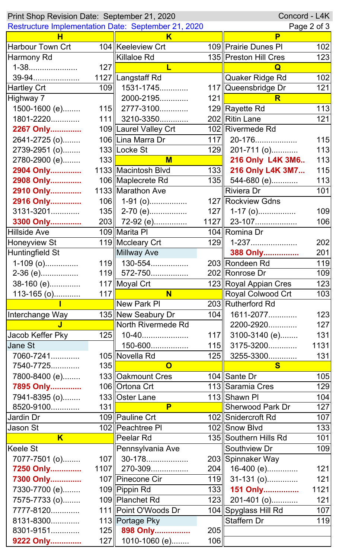| Concord - L4K<br>Print Shop Revision Date: September 21, 2020 |                 |                                         |     |                                            |      |  |
|---------------------------------------------------------------|-----------------|-----------------------------------------|-----|--------------------------------------------|------|--|
| <b>Restructure Implementation Date: September 21, 2020</b>    |                 | Page 2 of 3                             |     |                                            |      |  |
| н                                                             |                 | K                                       |     | P                                          |      |  |
| <b>Harbour Town Crt</b>                                       |                 | 104 Keeleview Crt                       |     | 109 Prairie Dunes PI                       | 102  |  |
| Harmony Rd                                                    |                 | <b>Killaloe Rd</b>                      |     | 135 Preston Hill Cres                      | 123  |  |
| 1-38                                                          | 127             | L                                       |     | Q                                          |      |  |
| 39-94                                                         |                 | 1127   Langstaff Rd                     |     | Quaker Ridge Rd                            | 102  |  |
| Hartley Crt                                                   | 109             | 1531-1745                               |     | 117 Queensbridge Dr                        | 121  |  |
| Highway 7                                                     |                 | 2000-2195                               | 121 | R.                                         |      |  |
| 1500-1600 (e)                                                 |                 | 115   2777-3100                         |     | 129 Rayette Rd                             | 113  |  |
| 1801-2220                                                     |                 | 111   3210-3350                         |     | 202 Ritin Lane                             | 121  |  |
| 2267 Only                                                     |                 | 109 Laurel Valley Crt                   |     | 102 Rivermede Rd                           |      |  |
| 2641-2725 (o)                                                 |                 | 106 Lina Marra Dr                       | 117 | 20-176                                     | 115  |  |
| 2739-2951 (o)                                                 |                 | 133 Locke St                            |     | $129$   201-711 (o)                        | 113  |  |
| 2780-2900 (e)                                                 | 133             | M                                       |     | 216 Only L4K 3M6                           | 113  |  |
| 2904 Only                                                     |                 | 1133 Macintosh Blvd                     | 133 | 216 Only L4K 3M7                           | 115  |  |
| 2908 Only                                                     |                 | 106 Maplecrete Rd                       | 135 | 544-680 (e)                                | 113  |  |
| 2910 Only                                                     |                 | 1133 Marathon Ave                       |     | <b>Riviera Dr</b>                          | 101  |  |
| 2916 Only                                                     |                 | $106$   1-91 (o)                        |     | 127 Rockview Gdns                          |      |  |
| 3131-3201                                                     |                 | $135$    2-70 (e)                       |     | $127$   1-17 (o)                           | 109  |  |
| 3300 Only                                                     |                 | 203   72-92 (e)                         |     | $1127$   23-107                            | 106  |  |
| Hillside Ave                                                  |                 | 109 Marita PI                           |     | 104 Romina Dr                              |      |  |
| Honeyview St                                                  |                 | 119 Mccleary Crt                        | 129 | 1-237                                      | 202  |  |
| <b>Huntingfield St</b>                                        |                 | <b>Millway Ave</b>                      |     | 388 Only                                   | 201  |  |
| $1-109(0)$                                                    | 119 $\parallel$ | 130-554                                 |     | 203 Rondeen Rd                             | 119  |  |
| 2-36 (e)                                                      |                 | 119 572-750                             |     | 202 Ronrose Dr                             | 109  |  |
|                                                               |                 |                                         |     |                                            |      |  |
|                                                               |                 |                                         |     |                                            |      |  |
| 38-160 (e)                                                    |                 | 117   Moyal Crt                         |     | 123 Royal Appian Cres                      | 123  |  |
| 113-165 (o)                                                   | 117             | N <sub>1</sub>                          |     | Royal Colwood Crt                          | 103  |  |
|                                                               |                 | New Park PI                             |     | 203 Rutherford Rd                          |      |  |
| Interchange Way                                               |                 | 135 New Seabury Dr                      | 104 | 1611-2077                                  | 123  |  |
|                                                               |                 | North Rivermede Rd                      |     | 2200-2920                                  | 127  |  |
| Jacob Keffer Pky                                              | 125             | 10-40                                   | 117 | 3100-3140 (e)                              | 131  |  |
| Jane St                                                       |                 | 150-600                                 | 115 | 3175-3200                                  | 1131 |  |
| 7060-7241                                                     |                 | 105  Novella Rd                         | 125 | 3255-3300                                  | 131  |  |
| 7540-7725                                                     | 135             | $\overline{O}$                          |     | $\overline{\mathbf{S}}$                    |      |  |
| 7800-8400 (e)                                                 |                 | 133 Oakmount Cres                       |     | 104 Sante Dr                               | 105  |  |
| 7895 Only                                                     |                 | 106 Ortona Crt                          |     | 113 Saramia Cres                           | 129  |  |
| 7941-8395 (o)                                                 |                 | 133 Oster Lane                          |     | 113 Shawn Pl                               | 104  |  |
| 8520-9100                                                     | 131             | P                                       |     | <b>Sherwood Park Dr</b>                    | 127  |  |
| Jardin Dr                                                     |                 | 109 Pauline Crt                         |     | 102 Snidercroft Rd                         | 107  |  |
| Jason St                                                      |                 | 102 Peachtree PI                        |     | 102 Snow Blvd                              | 133  |  |
| $\overline{\mathsf{K}}$                                       |                 | Peelar Rd                               |     | 135 Southern Hills Rd                      | 101  |  |
| <b>Keele St</b>                                               |                 | Pennsylvania Ave                        |     | Southview Dr                               | 109  |  |
| 7077-7501 (o)                                                 |                 | $107$ 30-178                            |     | 203 Spinnaker Way                          |      |  |
| 7250 Only                                                     |                 | 1107    270-309                         |     | 204    16-400 (e)                          | 121  |  |
| 7300 Only                                                     |                 | 107   Pinecone Cir                      | 119 | $31-131(0)$                                | 121  |  |
| 7330-7700 (e)                                                 |                 | 109 Pippin Rd                           | 133 | 151 Only                                   | 1121 |  |
| 7575-7733 (o)                                                 |                 | 109 Planchet Rd                         |     |                                            | 121  |  |
| 7777-8120                                                     |                 |                                         |     | 123 201-401 (o)                            | 107  |  |
| 8131-8300                                                     |                 | 111 Point O'Woods Dr<br>113 Portage Pky |     | 104 Spyglass Hill Rd<br><b>Staffern Dr</b> | 119  |  |
| 8301-9151                                                     | 125             | 898 Only                                | 205 |                                            |      |  |